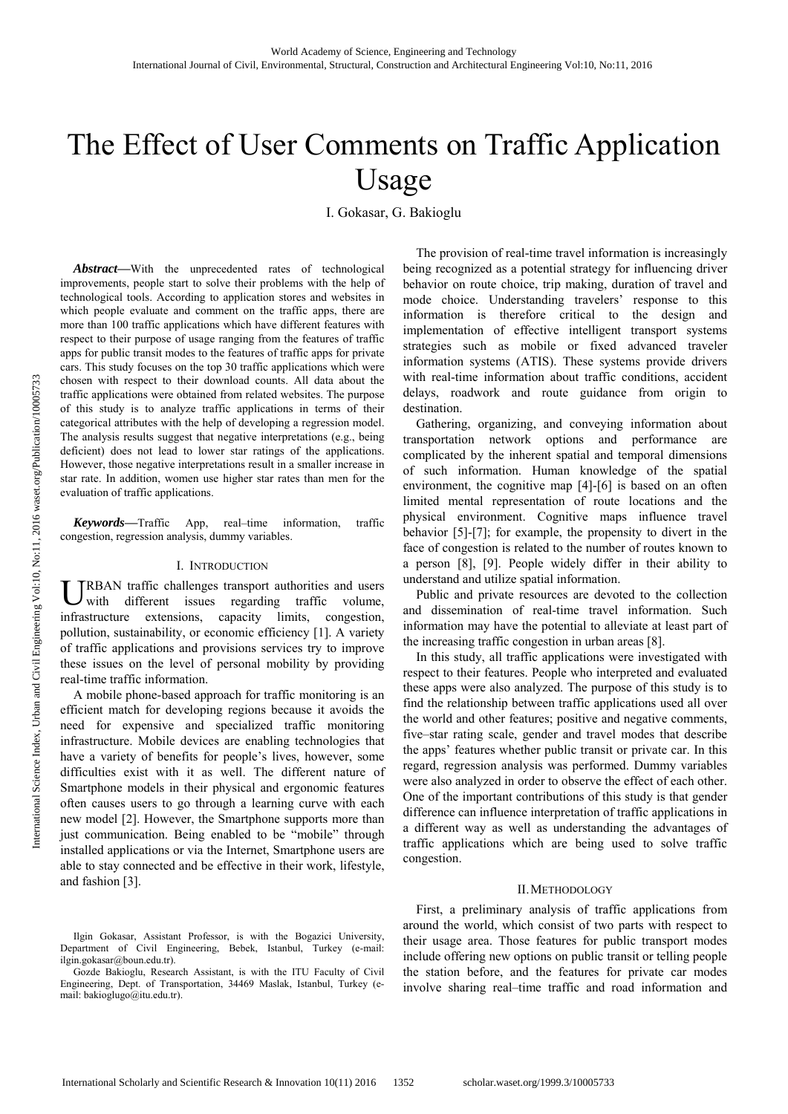# The Effect of User Comments on Traffic Application Usage

I. Gokasar, G. Bakioglu

*Abstract***—**With the unprecedented rates of technological improvements, people start to solve their problems with the help of technological tools. According to application stores and websites in which people evaluate and comment on the traffic apps, there are more than 100 traffic applications which have different features with respect to their purpose of usage ranging from the features of traffic apps for public transit modes to the features of traffic apps for private cars. This study focuses on the top 30 traffic applications which were chosen with respect to their download counts. All data about the traffic applications were obtained from related websites. The purpose of this study is to analyze traffic applications in terms of their categorical attributes with the help of developing a regression model. The analysis results suggest that negative interpretations (e.g., being deficient) does not lead to lower star ratings of the applications. However, those negative interpretations result in a smaller increase in star rate. In addition, women use higher star rates than men for the evaluation of traffic applications.

*Keywords***—**Traffic App, real–time information, traffic congestion, regression analysis, dummy variables.

## I. INTRODUCTION

URBAN traffic challenges transport authorities and users<br>with different issues regarding traffic volume, with different issues regarding traffic volume, infrastructure extensions, capacity limits, congestion, pollution, sustainability, or economic efficiency [1]. A variety of traffic applications and provisions services try to improve these issues on the level of personal mobility by providing real-time traffic information.

A mobile phone-based approach for traffic monitoring is an efficient match for developing regions because it avoids the need for expensive and specialized traffic monitoring infrastructure. Mobile devices are enabling technologies that have a variety of benefits for people's lives, however, some difficulties exist with it as well. The different nature of Smartphone models in their physical and ergonomic features often causes users to go through a learning curve with each new model [2]. However, the Smartphone supports more than just communication. Being enabled to be "mobile" through installed applications or via the Internet, Smartphone users are able to stay connected and be effective in their work, lifestyle, and fashion [3].

The provision of real-time travel information is increasingly being recognized as a potential strategy for influencing driver behavior on route choice, trip making, duration of travel and mode choice. Understanding travelers' response to this information is therefore critical to the design and implementation of effective intelligent transport systems strategies such as mobile or fixed advanced traveler information systems (ATIS). These systems provide drivers with real-time information about traffic conditions, accident delays, roadwork and route guidance from origin to destination.

Gathering, organizing, and conveying information about transportation network options and performance are complicated by the inherent spatial and temporal dimensions of such information. Human knowledge of the spatial environment, the cognitive map [4]-[6] is based on an often limited mental representation of route locations and the physical environment. Cognitive maps influence travel behavior [5]-[7]; for example, the propensity to divert in the face of congestion is related to the number of routes known to a person [8], [9]. People widely differ in their ability to understand and utilize spatial information.

Public and private resources are devoted to the collection and dissemination of real-time travel information. Such information may have the potential to alleviate at least part of the increasing traffic congestion in urban areas [8].

In this study, all traffic applications were investigated with respect to their features. People who interpreted and evaluated these apps were also analyzed. The purpose of this study is to find the relationship between traffic applications used all over the world and other features; positive and negative comments, five–star rating scale, gender and travel modes that describe the apps' features whether public transit or private car. In this regard, regression analysis was performed. Dummy variables were also analyzed in order to observe the effect of each other. One of the important contributions of this study is that gender difference can influence interpretation of traffic applications in a different way as well as understanding the advantages of traffic applications which are being used to solve traffic congestion.

### II.METHODOLOGY

First, a preliminary analysis of traffic applications from around the world, which consist of two parts with respect to their usage area. Those features for public transport modes include offering new options on public transit or telling people the station before, and the features for private car modes involve sharing real–time traffic and road information and

Ilgin Gokasar, Assistant Professor, is with the Bogazici University, Department of Civil Engineering, Bebek, Istanbul, Turkey (e-mail: ilgin.gokasar@boun.edu.tr).

Gozde Bakioglu, Research Assistant, is with the ITU Faculty of Civil Engineering, Dept. of Transportation, 34469 Maslak, Istanbul, Turkey (email: bakioglugo@itu.edu.tr).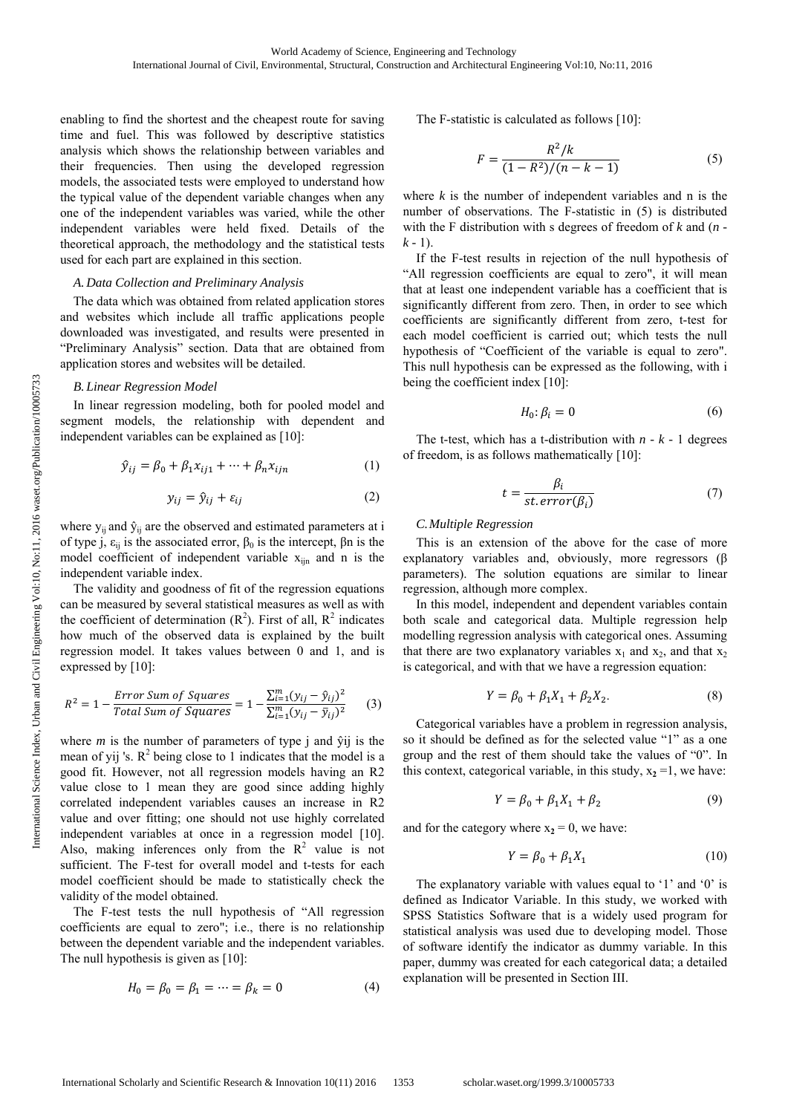enabling to find the shortest and the cheapest route for saving time and fuel. This was followed by descriptive statistics analysis which shows the relationship between variables and their frequencies. Then using the developed regression models, the associated tests were employed to understand how the typical value of the dependent variable changes when any one of the independent variables was varied, while the other independent variables were held fixed. Details of the theoretical approach, the methodology and the statistical tests used for each part are explained in this section.

# *A. Data Collection and Preliminary Analysis*

The data which was obtained from related application stores and websites which include all traffic applications people downloaded was investigated, and results were presented in "Preliminary Analysis" section. Data that are obtained from application stores and websites will be detailed.

## *B. Linear Regression Model*

In linear regression modeling, both for pooled model and segment models, the relationship with dependent and independent variables can be explained as [10]:

$$
\hat{y}_{ij} = \beta_0 + \beta_1 x_{ij1} + \dots + \beta_n x_{ijn} \tag{1}
$$

$$
y_{ij} = \hat{y}_{ij} + \varepsilon_{ij} \tag{2}
$$

where  $y_{ii}$  and  $\hat{y}_{ii}$  are the observed and estimated parameters at i of type j,  $ε_{ij}$  is the associated error,  $β_0$  is the intercept,  $βn$  is the model coefficient of independent variable  $x_{ijn}$  and n is the independent variable index.

The validity and goodness of fit of the regression equations can be measured by several statistical measures as well as with the coefficient of determination  $(R^2)$ . First of all,  $R^2$  indicates how much of the observed data is explained by the built regression model. It takes values between 0 and 1, and is expressed by [10]:

$$
R^{2} = 1 - \frac{Error Sum of Squares}{Total Sum of Squares} = 1 - \frac{\sum_{i=1}^{m} (y_{ij} - \hat{y}_{ij})^{2}}{\sum_{i=1}^{m} (y_{ij} - \bar{y}_{ij})^{2}} \tag{3}
$$

where  $m$  is the number of parameters of type  $\mathbf{j}$  and  $\hat{\mathbf{y}}$  is the mean of yij 's.  $R^2$  being close to 1 indicates that the model is a good fit. However, not all regression models having an R2 value close to 1 mean they are good since adding highly correlated independent variables causes an increase in R2 value and over fitting; one should not use highly correlated independent variables at once in a regression model [10]. Also, making inferences only from the  $R^2$  value is not sufficient. The F-test for overall model and t-tests for each model coefficient should be made to statistically check the validity of the model obtained.

The F-test tests the null hypothesis of "All regression coefficients are equal to zero"; i.e., there is no relationship between the dependent variable and the independent variables. The null hypothesis is given as [10]:

$$
H_0 = \beta_0 = \beta_1 = \dots = \beta_k = 0 \tag{4}
$$

The F-statistic is calculated as follows [10]:

$$
F = \frac{R^2/k}{(1 - R^2)/(n - k - 1)}
$$
 (5)

where  $k$  is the number of independent variables and  $n$  is the number of observations. The F-statistic in (5) is distributed with the F distribution with s degrees of freedom of *k* and (*n*   $k - 1$ ).

If the F-test results in rejection of the null hypothesis of "All regression coefficients are equal to zero", it will mean that at least one independent variable has a coefficient that is significantly different from zero. Then, in order to see which coefficients are significantly different from zero, t-test for each model coefficient is carried out; which tests the null hypothesis of "Coefficient of the variable is equal to zero". This null hypothesis can be expressed as the following, with i being the coefficient index [10]:

$$
H_0: \beta_i = 0 \tag{6}
$$

The t-test, which has a t-distribution with *n - k -* 1 degrees of freedom, is as follows mathematically [10]:

$$
t = \frac{\beta_i}{st. error(\beta_i)}\tag{7}
$$

## *C.Multiple Regression*

This is an extension of the above for the case of more explanatory variables and, obviously, more regressors (β parameters). The solution equations are similar to linear regression, although more complex.

In this model, independent and dependent variables contain both scale and categorical data. Multiple regression help modelling regression analysis with categorical ones. Assuming that there are two explanatory variables  $x_1$  and  $x_2$ , and that  $x_2$ is categorical, and with that we have a regression equation:

$$
Y = \beta_0 + \beta_1 X_1 + \beta_2 X_2. \tag{8}
$$

Categorical variables have a problem in regression analysis, so it should be defined as for the selected value "1" as a one group and the rest of them should take the values of "0". In this context, categorical variable, in this study,  $x_2 = 1$ , we have:

$$
Y = \beta_0 + \beta_1 X_1 + \beta_2 \tag{9}
$$

and for the category where  $x_2 = 0$ , we have:

$$
Y = \beta_0 + \beta_1 X_1 \tag{10}
$$

The explanatory variable with values equal to '1' and '0' is defined as Indicator Variable. In this study, we worked with SPSS Statistics Software that is a widely used program for statistical analysis was used due to developing model. Those of software identify the indicator as dummy variable. In this paper, dummy was created for each categorical data; a detailed explanation will be presented in Section III.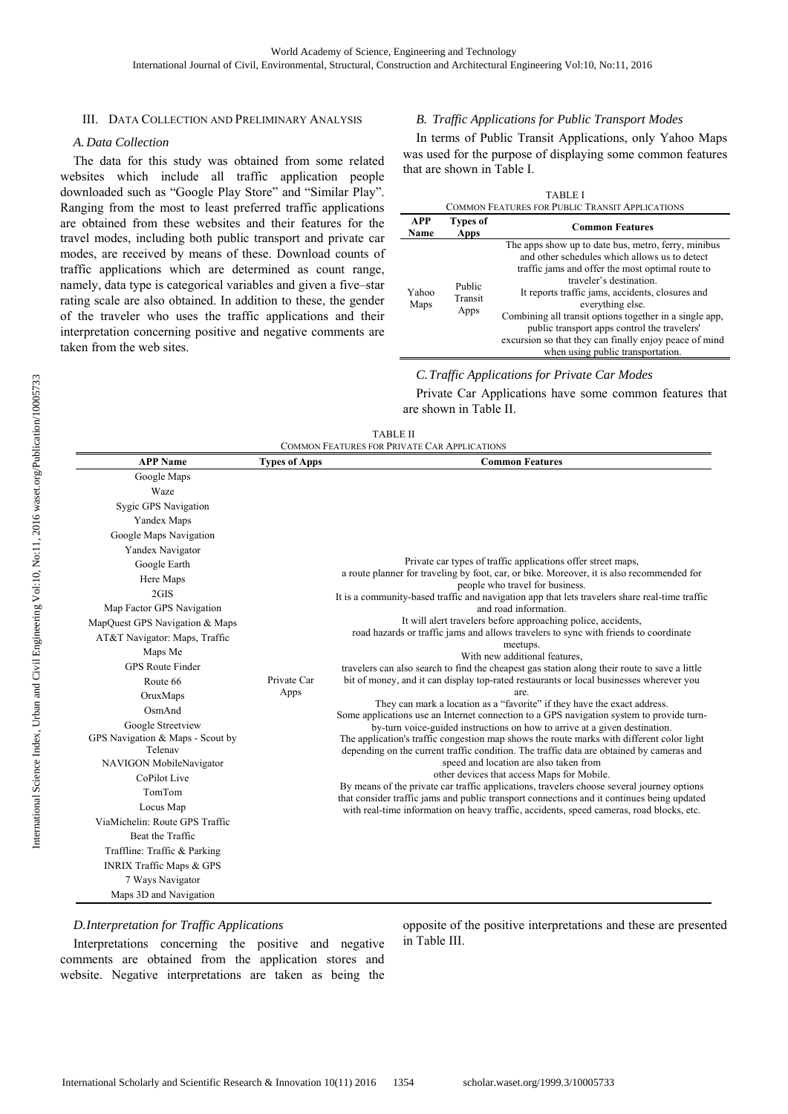## III. DATA COLLECTION AND PRELIMINARY ANALYSIS

## *A. Data Collection*

The data for this study was obtained from some related websites which include all traffic application people downloaded such as "Google Play Store" and "Similar Play". Ranging from the most to least preferred traffic applications are obtained from these websites and their features for the travel modes, including both public transport and private car modes, are received by means of these. Download counts of traffic applications which are determined as count range, namely, data type is categorical variables and given a five–star rating scale are also obtained. In addition to these, the gender of the traveler who uses the traffic applications and their interpretation concerning positive and negative comments are taken from the web sites.

# *B. Traffic Applications for Public Transport Modes*

In terms of Public Transit Applications, only Yahoo Maps was used for the purpose of displaying some common features that are shown in Table I.

| <b>TABLE I</b><br>COMMON FEATURES FOR PUBLIC TRANSIT APPLICATIONS |                           |                                                                                                                                                                                                                                                                                                                                                                                                                                                                       |  |  |  |  |  |
|-------------------------------------------------------------------|---------------------------|-----------------------------------------------------------------------------------------------------------------------------------------------------------------------------------------------------------------------------------------------------------------------------------------------------------------------------------------------------------------------------------------------------------------------------------------------------------------------|--|--|--|--|--|
| APP<br>Name                                                       | <b>Types of</b><br>Apps   | <b>Common Features</b>                                                                                                                                                                                                                                                                                                                                                                                                                                                |  |  |  |  |  |
| Yahoo<br>Maps                                                     | Public<br>Transit<br>Apps | The apps show up to date bus, metro, ferry, minibus<br>and other schedules which allows us to detect<br>traffic jams and offer the most optimal route to<br>traveler's destination.<br>It reports traffic jams, accidents, closures and<br>everything else.<br>Combining all transit options together in a single app,<br>public transport apps control the travelers'<br>excursion so that they can finally enjoy peace of mind<br>when using public transportation. |  |  |  |  |  |

*C.Traffic Applications for Private Car Modes* 

Private Car Applications have some common features that are shown in Table II.

| <b>TABLE II</b>                                     |  |
|-----------------------------------------------------|--|
| <b>COMMON FEATURES FOR PRIVATE CAR APPLICATIONS</b> |  |

| <b>APP Name</b>                     | <b>Types of Apps</b> | <b>Common Features</b>                                                                                                                                               |
|-------------------------------------|----------------------|----------------------------------------------------------------------------------------------------------------------------------------------------------------------|
| Google Maps                         |                      |                                                                                                                                                                      |
| Waze                                |                      |                                                                                                                                                                      |
| Sygic GPS Navigation                |                      |                                                                                                                                                                      |
| Yandex Maps                         |                      |                                                                                                                                                                      |
| Google Maps Navigation              |                      |                                                                                                                                                                      |
| Yandex Navigator                    |                      |                                                                                                                                                                      |
| Google Earth                        |                      | Private car types of traffic applications offer street maps,                                                                                                         |
| Here Maps                           |                      | a route planner for traveling by foot, car, or bike. Moreover, it is also recommended for                                                                            |
| 2GIS                                |                      | people who travel for business.<br>It is a community-based traffic and navigation app that lets travelers share real-time traffic                                    |
| Map Factor GPS Navigation           |                      | and road information.                                                                                                                                                |
| MapQuest GPS Navigation & Maps      |                      | It will alert travelers before approaching police, accidents,                                                                                                        |
| AT&T Navigator: Maps, Traffic       |                      | road hazards or traffic jams and allows travelers to sync with friends to coordinate                                                                                 |
| Maps Me                             |                      | meetups.<br>With new additional features,                                                                                                                            |
| <b>GPS Route Finder</b>             |                      | travelers can also search to find the cheapest gas station along their route to save a little                                                                        |
| Route 66                            | Private Car          | bit of money, and it can display top-rated restaurants or local businesses wherever you                                                                              |
| OruxMaps                            | Apps                 | are.                                                                                                                                                                 |
| OsmAnd                              |                      | They can mark a location as a "favorite" if they have the exact address.<br>Some applications use an Internet connection to a GPS navigation system to provide turn- |
| Google Streetview                   |                      | by-turn voice-guided instructions on how to arrive at a given destination.                                                                                           |
| GPS Navigation & Maps - Scout by    |                      | The application's traffic congestion map shows the route marks with different color light                                                                            |
| Telenav                             |                      | depending on the current traffic condition. The traffic data are obtained by cameras and                                                                             |
| NAVIGON MobileNavigator             |                      | speed and location are also taken from                                                                                                                               |
| CoPilot Live                        |                      | other devices that access Maps for Mobile.<br>By means of the private car traffic applications, travelers choose several journey options                             |
| TomTom                              |                      | that consider traffic jams and public transport connections and it continues being updated                                                                           |
| Locus Map                           |                      | with real-time information on heavy traffic, accidents, speed cameras, road blocks, etc.                                                                             |
| Via Michelin: Route GPS Traffic     |                      |                                                                                                                                                                      |
| Beat the Traffic                    |                      |                                                                                                                                                                      |
| Traffline: Traffic & Parking        |                      |                                                                                                                                                                      |
| <b>INRIX Traffic Maps &amp; GPS</b> |                      |                                                                                                                                                                      |
| 7 Ways Navigator                    |                      |                                                                                                                                                                      |
| Maps 3D and Navigation              |                      |                                                                                                                                                                      |

## *D.Interpretation for Traffic Applications*

Interpretations concerning the positive and negative comments are obtained from the application stores and website. Negative interpretations are taken as being the opposite of the positive interpretations and these are presented in Table III.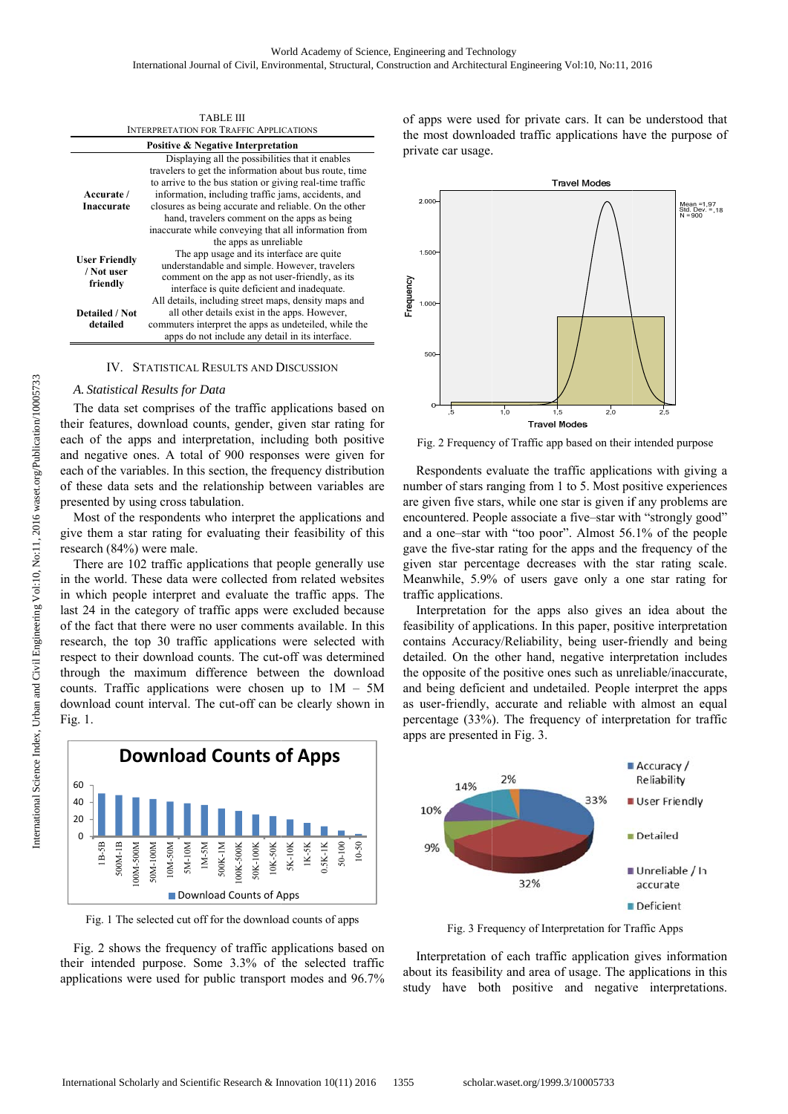| TABLE III                                      |                                                                                                                    |  |  |  |  |  |
|------------------------------------------------|--------------------------------------------------------------------------------------------------------------------|--|--|--|--|--|
| <b>INTERPRETATION FOR TRAFFIC APPLICATIONS</b> |                                                                                                                    |  |  |  |  |  |
|                                                | <b>Positive &amp; Negative Interpretation</b>                                                                      |  |  |  |  |  |
|                                                | Displaying all the possibilities that it enables                                                                   |  |  |  |  |  |
|                                                | travelers to get the information about bus route, time<br>to arrive to the bus station or giving real-time traffic |  |  |  |  |  |
| Accurate /                                     | information, including traffic jams, accidents, and                                                                |  |  |  |  |  |
| Inaccurate                                     | closures as being accurate and reliable. On the other                                                              |  |  |  |  |  |
|                                                | hand, travelers comment on the apps as being                                                                       |  |  |  |  |  |
|                                                | inaccurate while conveying that all information from                                                               |  |  |  |  |  |
|                                                | the apps as unreliable                                                                                             |  |  |  |  |  |
| <b>User Friendly</b>                           | The app usage and its interface are quite                                                                          |  |  |  |  |  |
| / Not user                                     | understandable and simple. However, travelers                                                                      |  |  |  |  |  |
|                                                | comment on the app as not user-friendly, as its                                                                    |  |  |  |  |  |
| friendly                                       | interface is quite deficient and inadequate.                                                                       |  |  |  |  |  |
|                                                | All details, including street maps, density maps and                                                               |  |  |  |  |  |
| <b>Detailed / Not</b>                          | all other details exist in the apps. However,                                                                      |  |  |  |  |  |
| detailed                                       | commuters interpret the apps as undeteiled, while the                                                              |  |  |  |  |  |
|                                                | apps do not include any detail in its interface.                                                                   |  |  |  |  |  |

IV. STATISTICAL RESULTS AND DISCUSSION

## A. Statistical Results for Data

their features, download counts, gender, given star rating for each of the apps and interpretation, including both positive and negative ones. A total of 900 responses were given for each of the variables. In this section, the frequency distribution of these data sets and the relationship between variables are presented by using cross tabulation. The data set comprises of the traffic applications based on

give them a star rating for evaluating their feasibility of this re search (84%) were male. Most of the respondents who interpret the applications and

in the world. These data were collected from related websites in which people interpret and evaluate the traffic apps. The last 24 in the category of traffic apps were excluded because of the fact that there were no user comments available. In this research, the top 30 traffic applications were selected with respect to their download counts. The cut-off was determined through the maximum difference between the download counts. Traffic applications were chosen up to  $1M - 5M$ download count interval. The cut-off can be clearly shown in Fig. 1. There are 102 traffic applications that people generally use



Fig. 1 The selected cut off for the download counts of apps

their intended purpose. Some 3.3% of the selected traffic applications were used for public transport modes and 96.7% Fig. 2 shows the frequency of traffic applications based on of apps were used for private cars. It can be understood that the most downloaded traffic applications have the purpose of private car usage.



Fig. 2 Frequency of Traffic app based on their intended purpose

Respondents evaluate the traffic applications with giving a number of stars ranging from 1 to 5. Most positive experiences are given five stars, while one star is given if any problems are encountered. People associate a five-star with "strongly good" and a one-star with "too poor". Almost 56.1% of the people gave the five-star rating for the apps and the frequency of the given star percentage decreases with the star rating scale. Meanwhile, 5.9% of users gave only a one star rating for traffic applications.

Interpretation for the apps also gives an idea about the feasibility of applications. In this paper, positive interpretation contains Accuracy/Reliability, being user-friendly and being detailed. On the other hand, negative interpretation includes the opposite of the positive ones such as unreliable/inaccurate, and being deficient and undetailed. People interpret the apps as user-friendly, accurate and reliable with almost an equal percentage (33%). The frequency of interpretation for traffic app s are presente d in Fig. 3.



Fig. 3 Frequency of Interpretation for Traffic Apps

Interpretation of each traffic application gives information about its feasibility and area of usage. The applications in this study have both positive and negative interpretations.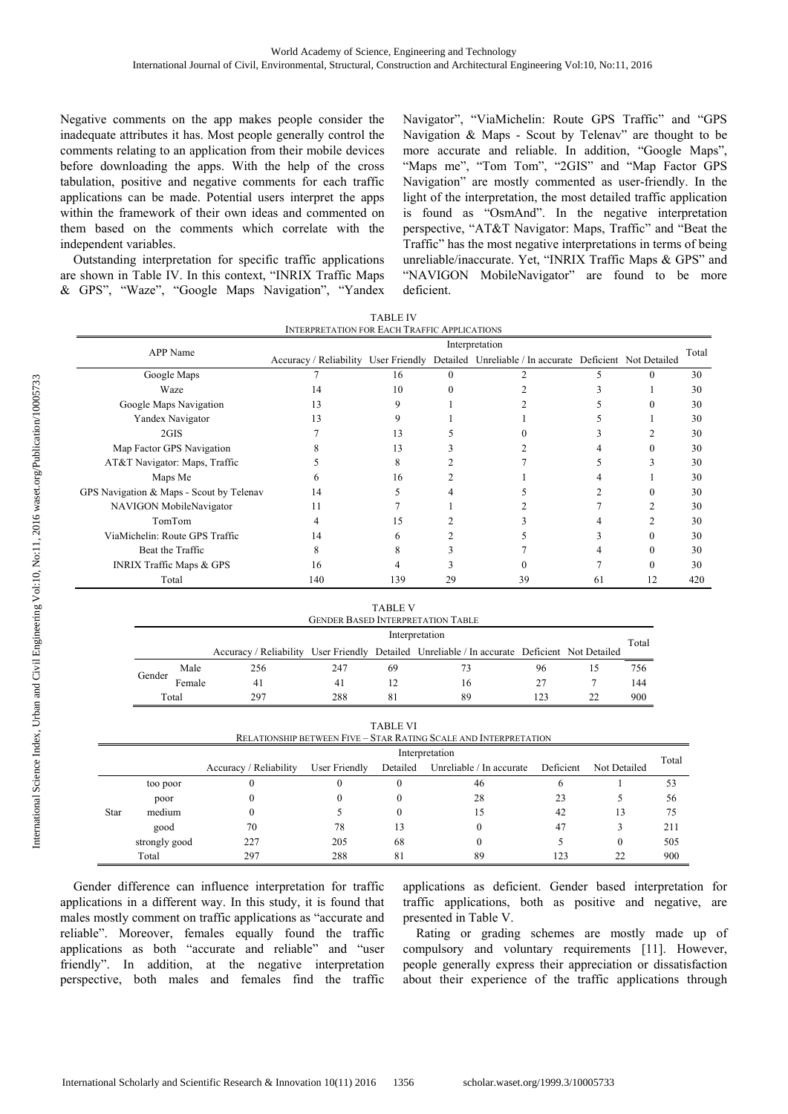Negative comments on the app makes people consider the inadequate attributes it has. Most people generally control the comments relating to an application from their mobile devices before downloading the apps. With the help of the cross tabulation, positive and negative comments for each traffic applications can be made. Potential users interpret the apps within the framework of their own ideas and commented on them based on the comments which correlate with the independent variables.

Outstanding interpretation for specific traffic applications are shown in Table IV. In this context, "INRIX Traffic Maps & GPS", "Waze", "Google Maps Navigation", "Yandex Navigator", "ViaMichelin: Route GPS Traffic" and "GPS Navigation & Maps - Scout by Telenav" are thought to be more accurate and reliable. In addition, "Google Maps", "Maps me", "Tom Tom", "2GIS" and "Map Factor GPS Navigation" are mostly commented as user-friendly. In the light of the interpretation, the most detailed traffic application is found as "OsmAnd". In the negative interpretation perspective, "AT&T Navigator: Maps, Traffic" and "Beat the Traffic" has the most negative interpretations in terms of being unreliable/inaccurate. Yet, "INRIX Traffic Maps & GPS" and "NAVIGON MobileNavigator" are found to be more deficient.

|                                          |                                                                       | TABLE IV |          |                                                                                               |    |    |       |
|------------------------------------------|-----------------------------------------------------------------------|----------|----------|-----------------------------------------------------------------------------------------------|----|----|-------|
|                                          | <b>INTERPRETATION FOR EACH TRAFFIC APPLICATIONS</b><br>Interpretation |          |          |                                                                                               |    |    |       |
| APP Name                                 |                                                                       |          |          | Accuracy / Reliability User Friendly Detailed Unreliable / In accurate Deficient Not Detailed |    |    | Total |
| Google Maps                              |                                                                       | 16       | $\Omega$ |                                                                                               |    | 0  | 30    |
| Waze                                     | 14                                                                    | 10       |          |                                                                                               |    |    | 30    |
| Google Maps Navigation                   | 13                                                                    | 9        |          |                                                                                               |    | 0  | 30    |
| Yandex Navigator                         | 13                                                                    | 9        |          |                                                                                               |    |    | 30    |
| 2GIS                                     |                                                                       | 13       |          |                                                                                               |    |    | 30    |
| Map Factor GPS Navigation                | 8                                                                     | 13       |          |                                                                                               |    | 0  | 30    |
| AT&T Navigator: Maps, Traffic            |                                                                       | 8        |          |                                                                                               |    |    | 30    |
| Maps Me                                  | h                                                                     | 16       |          |                                                                                               |    |    | 30    |
| GPS Navigation & Maps - Scout by Telenav | 14                                                                    | 5        |          |                                                                                               |    | 0  | 30    |
| NAVIGON MobileNavigator                  | 11                                                                    |          |          |                                                                                               |    |    | 30    |
| TomTom                                   | 4                                                                     | 15       |          |                                                                                               |    |    | 30    |
| ViaMichelin: Route GPS Traffic           | 14                                                                    | 6        |          |                                                                                               |    | 0  | 30    |
| Beat the Traffic                         | 8                                                                     | 8        |          |                                                                                               |    | 0  | 30    |
| <b>INRIX Traffic Maps &amp; GPS</b>      | 16                                                                    | 4        |          |                                                                                               |    |    | 30    |
| Total                                    | 140                                                                   | 139      | 29       | 39                                                                                            | 61 | 12 | 420   |

| <b>TABLE IV</b>                                |
|------------------------------------------------|
| <b>INTERPRETATION FOR EACH TRAFFIC APPLICA</b> |

|     |    | <b>GENDER BASED INTERPRETATION TABLE</b> |                |    |                                                                                               |  |  |
|-----|----|------------------------------------------|----------------|----|-----------------------------------------------------------------------------------------------|--|--|
|     |    |                                          |                |    |                                                                                               |  |  |
|     |    |                                          | Interpretation |    |                                                                                               |  |  |
|     |    |                                          |                |    | Total                                                                                         |  |  |
| 247 | 69 | 73                                       | 96             | 15 | 756                                                                                           |  |  |
| 41  | 12 | 16                                       | 27             |    | 144                                                                                           |  |  |
| 288 | 81 | 89                                       | 123            | າາ | 900                                                                                           |  |  |
|     |    |                                          |                |    | Accuracy / Reliability User Friendly Detailed Unreliable / In accurate Deficient Not Detailed |  |  |

 $\cdots$ 

TABLE VI RELATIONSHIP BETWEEN FIVE – STAR RATING SCALE AND INTERPRETATION

|      |               | Interpretation         |               |          |                          | Total     |              |     |
|------|---------------|------------------------|---------------|----------|--------------------------|-----------|--------------|-----|
|      |               | Accuracy / Reliability | User Friendly | Detailed | Unreliable / In accurate | Deficient | Not Detailed |     |
|      | too poor      |                        | v             |          | 46                       | O         |              | 53  |
|      | poor          |                        | U             |          | 28                       | 23        |              | 56  |
| Star | medium        |                        |               |          | 15                       | 42        | 13           | 75  |
|      | good          | 70                     | 78            | 13       |                          | 47        |              | 211 |
|      | strongly good | 227                    | 205           | 68       | 0                        |           | 0            | 505 |
|      | Total         | 297                    | 288           | 81       | 89                       | 123       | 22           | 900 |

Gender difference can influence interpretation for traffic applications in a different way. In this study, it is found that males mostly comment on traffic applications as "accurate and reliable". Moreover, females equally found the traffic applications as both "accurate and reliable" and "user friendly". In addition, at the negative interpretation perspective, both males and females find the traffic applications as deficient. Gender based interpretation for traffic applications, both as positive and negative, are presented in Table V.

Rating or grading schemes are mostly made up of compulsory and voluntary requirements [11]. However, people generally express their appreciation or dissatisfaction about their experience of the traffic applications through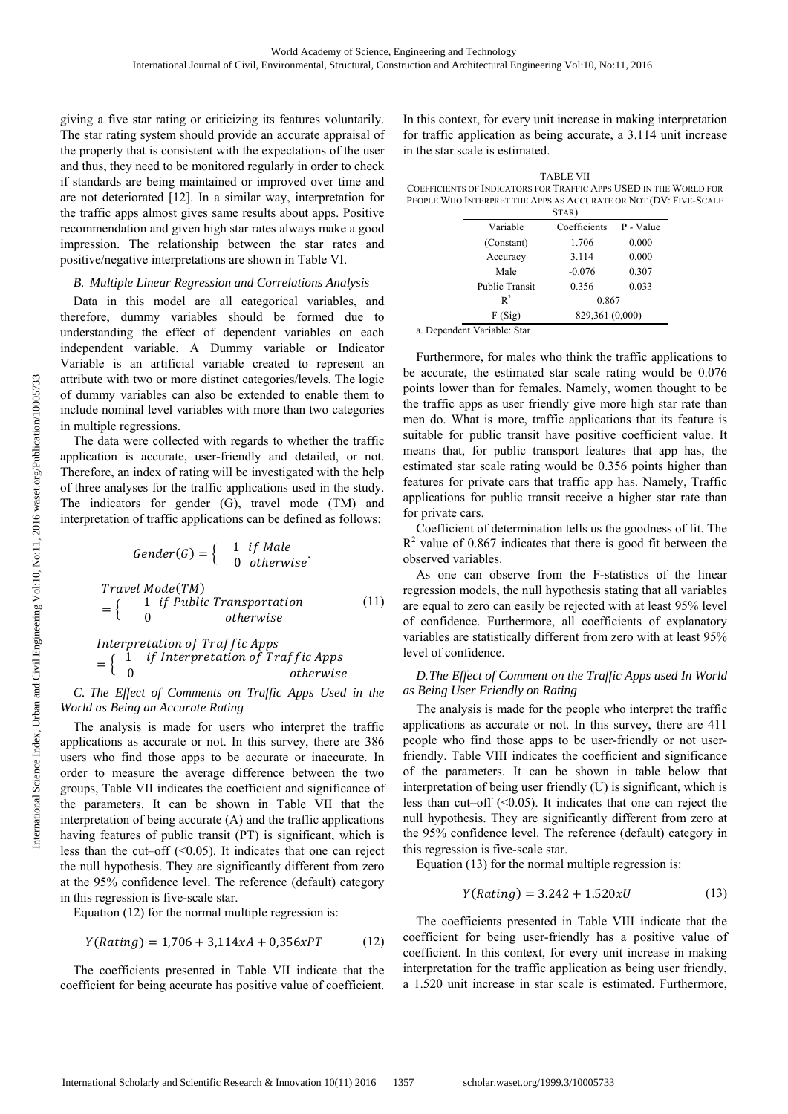giving a five star rating or criticizing its features voluntarily. The star rating system should provide an accurate appraisal of the property that is consistent with the expectations of the user and thus, they need to be monitored regularly in order to check if standards are being maintained or improved over time and are not deteriorated [12]. In a similar way, interpretation for the traffic apps almost gives same results about apps. Positive recommendation and given high star rates always make a good impression. The relationship between the star rates and positive/negative interpretations are shown in Table VI.

# *B. Multiple Linear Regression and Correlations Analysis*

Data in this model are all categorical variables, and therefore, dummy variables should be formed due to understanding the effect of dependent variables on each independent variable. A Dummy variable or Indicator Variable is an artificial variable created to represent an attribute with two or more distinct categories/levels. The logic of dummy variables can also be extended to enable them to include nominal level variables with more than two categories in multiple regressions.

The data were collected with regards to whether the traffic application is accurate, user-friendly and detailed, or not. Therefore, an index of rating will be investigated with the help of three analyses for the traffic applications used in the study. The indicators for gender (G), travel mode (TM) and interpretation of traffic applications can be defined as follows:

$$
Gender(G) = \begin{cases} 1 & if \ Male \\ 0 & otherwise \end{cases}
$$
  
 
$$
Travel \ Mode(TM)
$$
  
 
$$
= \begin{cases} 1 & if \ Public \ Transportation \\ 0 & otherwise \end{cases}
$$
 (11)  
 
$$
Interpretation \ of \ Traffic \ Apps
$$

$$
= \left\{ \begin{array}{cl} 1 & if \ Interpretation \ of \ Traffic \ Apps \\ 0 & otherwise \end{array} \right.
$$

*C. The Effect of Comments on Traffic Apps Used in the World as Being an Accurate Rating* 

The analysis is made for users who interpret the traffic applications as accurate or not. In this survey, there are 386 users who find those apps to be accurate or inaccurate. In order to measure the average difference between the two groups, Table VII indicates the coefficient and significance of the parameters. It can be shown in Table VII that the interpretation of being accurate (A) and the traffic applications having features of public transit (PT) is significant, which is less than the cut–off  $( $0.05$ ). It indicates that one can reject$ the null hypothesis. They are significantly different from zero at the 95% confidence level. The reference (default) category in this regression is five-scale star.

Equation (12) for the normal multiple regression is:

$$
Y(Rating) = 1,706 + 3,114xA + 0,356xPT
$$
 (12)

The coefficients presented in Table VII indicate that the coefficient for being accurate has positive value of coefficient. In this context, for every unit increase in making interpretation for traffic application as being accurate, a 3.114 unit increase in the star scale is estimated.

TABLE VII COEFFICIENTS OF INDICATORS FOR TRAFFIC APPS USED IN THE WORLD FOR PEOPLE WHO INTERPRET THE APPS AS ACCURATE OR NOT (DV: FIVE-SCALE

|                       | STAR)           |           |  |
|-----------------------|-----------------|-----------|--|
| Variable              | Coefficients    | P - Value |  |
| (Constant)            | 1.706           | 0.000     |  |
| Accuracy              | 3.114           | 0.000     |  |
| Male                  | $-0.076$        | 0.307     |  |
| <b>Public Transit</b> | 0.356           | 0.033     |  |
| $R^2$                 | 0.867           |           |  |
| F(Sig)                | 829,361 (0,000) |           |  |

a. Dependent Variable: Star

Furthermore, for males who think the traffic applications to be accurate, the estimated star scale rating would be 0.076 points lower than for females. Namely, women thought to be the traffic apps as user friendly give more high star rate than men do. What is more, traffic applications that its feature is suitable for public transit have positive coefficient value. It means that, for public transport features that app has, the estimated star scale rating would be 0.356 points higher than features for private cars that traffic app has. Namely, Traffic applications for public transit receive a higher star rate than for private cars.

Coefficient of determination tells us the goodness of fit. The  $R<sup>2</sup>$  value of 0.867 indicates that there is good fit between the observed variables.

As one can observe from the F-statistics of the linear regression models, the null hypothesis stating that all variables are equal to zero can easily be rejected with at least 95% level of confidence. Furthermore, all coefficients of explanatory variables are statistically different from zero with at least 95% level of confidence.

# *D.The Effect of Comment on the Traffic Apps used In World as Being User Friendly on Rating*

The analysis is made for the people who interpret the traffic applications as accurate or not. In this survey, there are 411 people who find those apps to be user-friendly or not userfriendly. Table VIII indicates the coefficient and significance of the parameters. It can be shown in table below that interpretation of being user friendly (U) is significant, which is less than cut–off (<0.05). It indicates that one can reject the null hypothesis. They are significantly different from zero at the 95% confidence level. The reference (default) category in this regression is five-scale star.

Equation (13) for the normal multiple regression is:

$$
Y(Rating) = 3.242 + 1.520xU
$$
 (13)

The coefficients presented in Table VIII indicate that the coefficient for being user-friendly has a positive value of coefficient. In this context, for every unit increase in making interpretation for the traffic application as being user friendly, a 1.520 unit increase in star scale is estimated. Furthermore,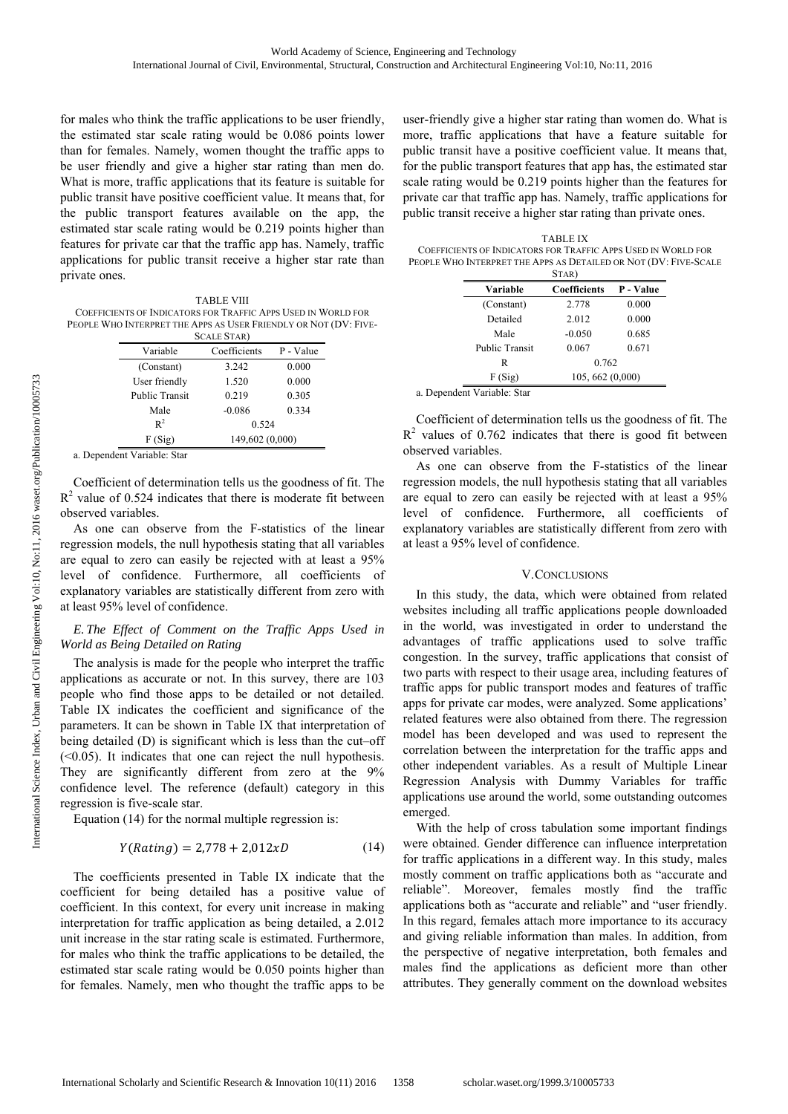for males who think the traffic applications to be user friendly, the estimated star scale rating would be 0.086 points lower than for females. Namely, women thought the traffic apps to be user friendly and give a higher star rating than men do. What is more, traffic applications that its feature is suitable for public transit have positive coefficient value. It means that, for the public transport features available on the app, the estimated star scale rating would be 0.219 points higher than features for private car that the traffic app has. Namely, traffic applications for public transit receive a higher star rate than private ones.

TABLE VIII COEFFICIENTS OF INDICATORS FOR TRAFFIC APPS USED IN WORLD FOR PEOPLE WHO INTERPRET THE APPS AS USER FRIENDLY OR NOT (DV: FIVE-

|                       | <b>SCALE STAR</b> ) |           |  |
|-----------------------|---------------------|-----------|--|
| Variable              | Coefficients        | P - Value |  |
| (Constant)            | 3.242               | 0.000     |  |
| User friendly         | 1.520               | 0.000     |  |
| <b>Public Transit</b> | 0.219               | 0.305     |  |
| Male                  | $-0.086$            | 0.334     |  |
| $R^2$                 | 0.524               |           |  |
| F(Sig)                | 149,602 (0,000)     |           |  |

a. Dependent Variable: Star

Coefficient of determination tells us the goodness of fit. The  $R<sup>2</sup>$  value of 0.524 indicates that there is moderate fit between observed variables.

As one can observe from the F-statistics of the linear regression models, the null hypothesis stating that all variables are equal to zero can easily be rejected with at least a 95% level of confidence. Furthermore, all coefficients of explanatory variables are statistically different from zero with at least 95% level of confidence.

# *E. The Effect of Comment on the Traffic Apps Used in World as Being Detailed on Rating*

The analysis is made for the people who interpret the traffic applications as accurate or not. In this survey, there are 103 people who find those apps to be detailed or not detailed. Table IX indicates the coefficient and significance of the parameters. It can be shown in Table IX that interpretation of being detailed (D) is significant which is less than the cut–off  $( $0.05$ ). It indicates that one can reject the null hypothesis.$ They are significantly different from zero at the 9% confidence level. The reference (default) category in this regression is five-scale star.

Equation (14) for the normal multiple regression is:

$$
Y(Rating) = 2,778 + 2,012xD \tag{14}
$$

The coefficients presented in Table IX indicate that the coefficient for being detailed has a positive value of coefficient. In this context, for every unit increase in making interpretation for traffic application as being detailed, a 2.012 unit increase in the star rating scale is estimated. Furthermore, for males who think the traffic applications to be detailed, the estimated star scale rating would be 0.050 points higher than for females. Namely, men who thought the traffic apps to be user-friendly give a higher star rating than women do. What is more, traffic applications that have a feature suitable for public transit have a positive coefficient value. It means that, for the public transport features that app has, the estimated star scale rating would be 0.219 points higher than the features for private car that traffic app has. Namely, traffic applications for public transit receive a higher star rating than private ones.

TABLE IX COEFFICIENTS OF INDICATORS FOR TRAFFIC APPS USED IN WORLD FOR PEOPLE WHO INTERPRET THE APPS AS DETAILED OR NOT (DV: FIVE-SCALE

|                        | STAR)            |           |
|------------------------|------------------|-----------|
| Variable               | Coefficients     | P - Value |
| (Constant)             | 2.778            | 0.000     |
| Detailed               | 2.012            | 0.000     |
| Male                   | $-0.050$         | 0.685     |
| <b>Public Transit</b>  | 0.067            | 0.671     |
| R                      | 0.762            |           |
| F(Sig)                 | 105, 662 (0,000) |           |
| sandant Variabla: Ctar |                  |           |

a. Dependent Variable: Star

Coefficient of determination tells us the goodness of fit. The  $R<sup>2</sup>$  values of 0.762 indicates that there is good fit between observed variables.

As one can observe from the F-statistics of the linear regression models, the null hypothesis stating that all variables are equal to zero can easily be rejected with at least a 95% level of confidence. Furthermore, all coefficients of explanatory variables are statistically different from zero with at least a 95% level of confidence.

## V.CONCLUSIONS

In this study, the data, which were obtained from related websites including all traffic applications people downloaded in the world, was investigated in order to understand the advantages of traffic applications used to solve traffic congestion. In the survey, traffic applications that consist of two parts with respect to their usage area, including features of traffic apps for public transport modes and features of traffic apps for private car modes, were analyzed. Some applications' related features were also obtained from there. The regression model has been developed and was used to represent the correlation between the interpretation for the traffic apps and other independent variables. As a result of Multiple Linear Regression Analysis with Dummy Variables for traffic applications use around the world, some outstanding outcomes emerged.

With the help of cross tabulation some important findings were obtained. Gender difference can influence interpretation for traffic applications in a different way. In this study, males mostly comment on traffic applications both as "accurate and reliable". Moreover, females mostly find the traffic applications both as "accurate and reliable" and "user friendly. In this regard, females attach more importance to its accuracy and giving reliable information than males. In addition, from the perspective of negative interpretation, both females and males find the applications as deficient more than other attributes. They generally comment on the download websites